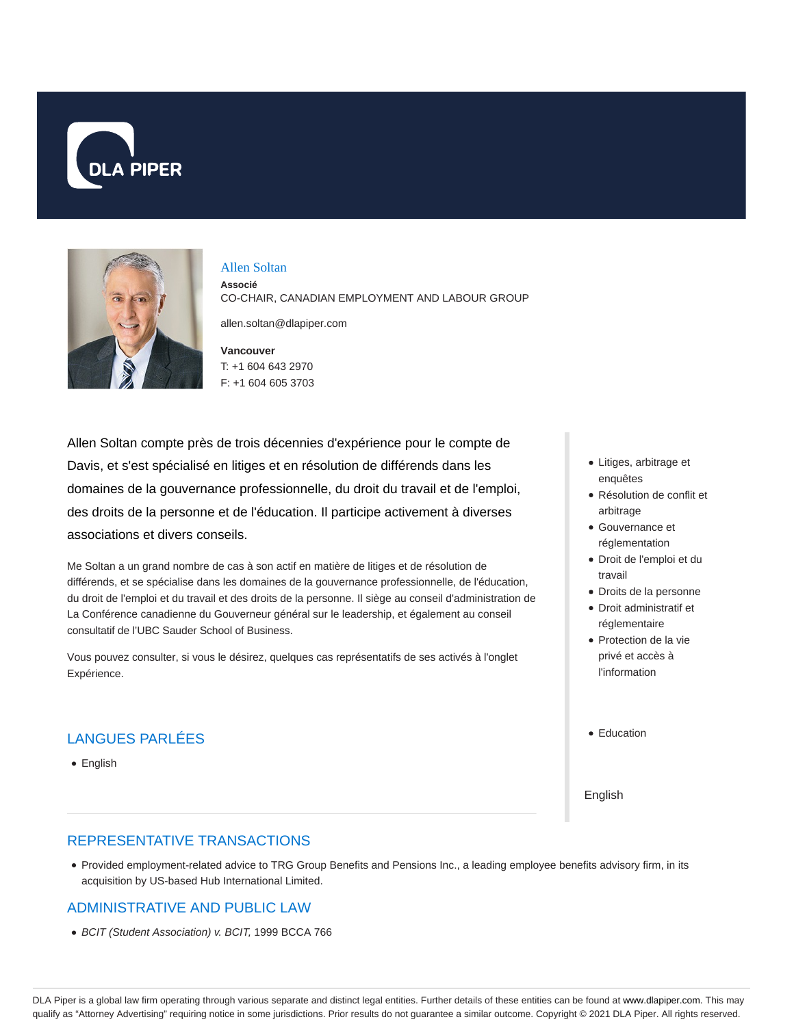



Allen Soltan

**Associé** CO-CHAIR, CANADIAN EMPLOYMENT AND LABOUR GROUP

allen.soltan@dlapiper.com

**Vancouver** T: +1 604 643 2970 F: +1 604 605 3703

Allen Soltan compte près de trois décennies d'expérience pour le compte de Davis, et s'est spécialisé en litiges et en résolution de différends dans les domaines de la gouvernance professionnelle, du droit du travail et de l'emploi, des droits de la personne et de l'éducation. Il participe activement à diverses associations et divers conseils.

Me Soltan a un grand nombre de cas à son actif en matière de litiges et de résolution de différends, et se spécialise dans les domaines de la gouvernance professionnelle, de l'éducation, du droit de l'emploi et du travail et des droits de la personne. Il siège au conseil d'administration de La Conférence canadienne du Gouverneur général sur le leadership, et également au conseil consultatif de l'UBC Sauder School of Business.

Vous pouvez consulter, si vous le désirez, quelques cas représentatifs de ses activés à l'onglet Expérience.

## LANGUES PARLÉES

English

- Litiges, arbitrage et enquêtes
- Résolution de conflit et arbitrage
- Gouvernance et réglementation
- Droit de l'emploi et du travail
- Droits de la personne
- Droit administratif et réglementaire
- Protection de la vie privé et accès à l'information
- Education

English

#### REPRESENTATIVE TRANSACTIONS

Provided employment-related advice to TRG Group Benefits and Pensions Inc., a leading employee benefits advisory firm, in its acquisition by US-based Hub International Limited.

### ADMINISTRATIVE AND PUBLIC LAW

BCIT (Student Association) v. BCIT, 1999 BCCA 766

DLA Piper is a global law firm operating through various separate and distinct legal entities. Further details of these entities can be found at www.dlapiper.com. This may qualify as "Attorney Advertising" requiring notice in some jurisdictions. Prior results do not guarantee a similar outcome. Copyright © 2021 DLA Piper. All rights reserved.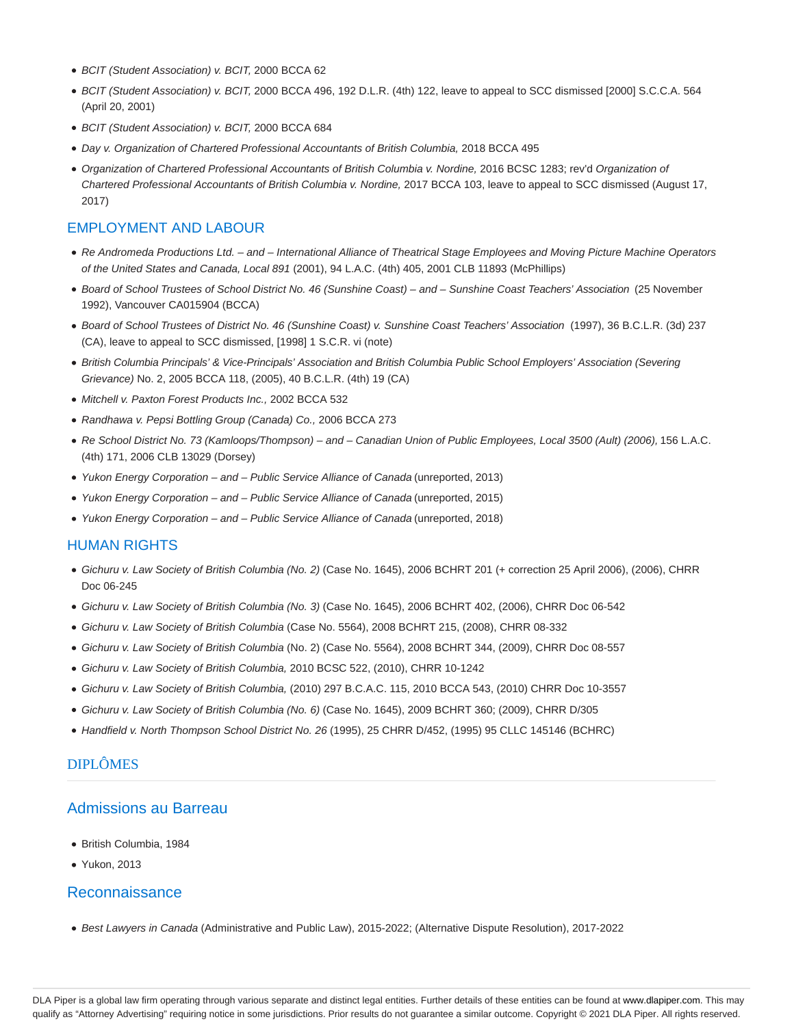- BCIT (Student Association) v. BCIT, 2000 BCCA 62
- BCIT (Student Association) v. BCIT, 2000 BCCA 496, 192 D.L.R. (4th) 122, leave to appeal to SCC dismissed [2000] S.C.C.A. 564 (April 20, 2001)
- BCIT (Student Association) v. BCIT, 2000 BCCA 684
- Day v. Organization of Chartered Professional Accountants of British Columbia, 2018 BCCA 495
- Organization of Chartered Professional Accountants of British Columbia v. Nordine, 2016 BCSC 1283; rev'd Organization of Chartered Professional Accountants of British Columbia v. Nordine, 2017 BCCA 103, leave to appeal to SCC dismissed (August 17, 2017)

### EMPLOYMENT AND LABOUR

- Re Andromeda Productions Ltd. and International Alliance of Theatrical Stage Employees and Moving Picture Machine Operators of the United States and Canada, Local 891 (2001), 94 L.A.C. (4th) 405, 2001 CLB 11893 (McPhillips)
- Board of School Trustees of School District No. 46 (Sunshine Coast) and Sunshine Coast Teachers' Association (25 November 1992), Vancouver CA015904 (BCCA)
- Board of School Trustees of District No. 46 (Sunshine Coast) v. Sunshine Coast Teachers' Association (1997), 36 B.C.L.R. (3d) 237 (CA), leave to appeal to SCC dismissed, [1998] 1 S.C.R. vi (note)
- British Columbia Principals' & Vice-Principals' Association and British Columbia Public School Employers' Association (Severing Grievance) No. 2, 2005 BCCA 118, (2005), 40 B.C.L.R. (4th) 19 (CA)
- Mitchell v. Paxton Forest Products Inc., 2002 BCCA 532
- Randhawa v. Pepsi Bottling Group (Canada) Co., 2006 BCCA 273
- Re School District No. 73 (Kamloops/Thompson) and Canadian Union of Public Employees, Local 3500 (Ault) (2006), 156 L.A.C. (4th) 171, 2006 CLB 13029 (Dorsey)
- Yukon Energy Corporation and Public Service Alliance of Canada (unreported, 2013)
- Yukon Energy Corporation and Public Service Alliance of Canada (unreported, 2015)
- Yukon Energy Corporation and Public Service Alliance of Canada (unreported, 2018)

#### HUMAN RIGHTS

- Gichuru v. Law Society of British Columbia (No. 2) (Case No. 1645), 2006 BCHRT 201 (+ correction 25 April 2006), (2006), CHRR Doc 06-245
- Gichuru v. Law Society of British Columbia (No. 3) (Case No. 1645), 2006 BCHRT 402, (2006), CHRR Doc 06-542
- Gichuru v. Law Society of British Columbia (Case No. 5564), 2008 BCHRT 215, (2008), CHRR 08-332
- Gichuru v. Law Society of British Columbia (No. 2) (Case No. 5564), 2008 BCHRT 344, (2009), CHRR Doc 08-557
- Gichuru v. Law Society of British Columbia, 2010 BCSC 522, (2010), CHRR 10-1242
- Gichuru v. Law Society of British Columbia, (2010) 297 B.C.A.C. 115, 2010 BCCA 543, (2010) CHRR Doc 10-3557
- Gichuru v. Law Society of British Columbia (No. 6) (Case No. 1645), 2009 BCHRT 360; (2009), CHRR D/305
- Handfield v. North Thompson School District No. 26 (1995), 25 CHRR D/452, (1995) 95 CLLC 145146 (BCHRC)

### DIPLÔMES

#### Admissions au Barreau

- British Columbia, 1984
- Yukon, 2013

#### Reconnaissance

Best Lawyers in Canada (Administrative and Public Law), 2015-2022; (Alternative Dispute Resolution), 2017-2022